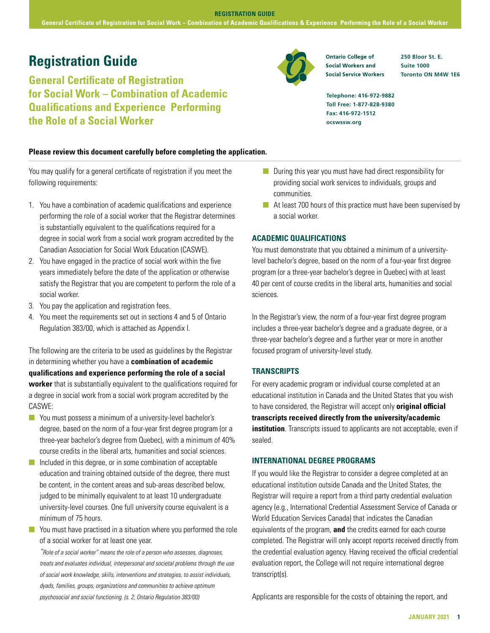## **Registration Guide 250 Bloor St. E. Property Contario College of** 250 Bloor St. E.

**General Certificate of Registration for Social Work – Combination of Academic Qualifications and Experience Performing the Role of a Social Worker**

#### **Please review this document carefully before completing the application.**

You may qualify for a general certificate of registration if you meet the following requirements:

- 1. You have a combination of academic qualifications and experience performing the role of a social worker that the Registrar determines is substantially equivalent to the qualifications required for a degree in social work from a social work program accredited by the Canadian Association for Social Work Education (CASWE).
- 2. You have engaged in the practice of social work within the five years immediately before the date of the application or otherwise satisfy the Registrar that you are competent to perform the role of a social worker.
- 3. You pay the application and registration fees.
- 4. You meet the requirements set out in sections 4 and 5 of Ontario Regulation 383/00, which is attached as Appendix I.

The following are the criteria to be used as guidelines by the Registrar in determining whether you have a **combination of academic qualifications and experience performing the role of a social worker** that is substantially equivalent to the qualifications required for a degree in social work from a social work program accredited by the CASWE:

- **n** You must possess a minimum of a university-level bachelor's degree, based on the norm of a four-year first degree program (or a three-year bachelor's degree from Quebec), with a minimum of 40% course credits in the liberal arts, humanities and social sciences.
- $\blacksquare$  Included in this degree, or in some combination of acceptable education and training obtained outside of the degree, there must be content, in the content areas and sub-areas described below, judged to be minimally equivalent to at least 10 undergraduate university-level courses. One full university course equivalent is a minimum of 75 hours.
- $\blacksquare$  You must have practised in a situation where you performed the role of a social worker for at least one year.

*"Role of a social worker" means the role of a person who assesses, diagnoses, treats and evaluates individual, interpersonal and societal problems through the use of social work knowledge, skills, interventions and strategies, to assist individuals, dyads, families, groups, organizations and communities to achieve optimum psychosocial and social functioning. (s. 2, Ontario Regulation 383/00)*



**Social Service Workers** 

**Suite 1000 Toronto ON M4W 1E6**

**Telephone: 416-972-9882 Toll Free: 1-877-828-9380 Fax: 416-972-1512 ocswssw.org**

- $\blacksquare$  During this year you must have had direct responsibility for providing social work services to individuals, groups and communities.
- $\blacksquare$  At least 700 hours of this practice must have been supervised by a social worker.

#### **ACADEMIC QUALIFICATIONS**

You must demonstrate that you obtained a minimum of a universitylevel bachelor's degree, based on the norm of a four-year first degree program (or a three-year bachelor's degree in Quebec) with at least 40 per cent of course credits in the liberal arts, humanities and social sciences.

In the Registrar's view, the norm of a four-year first degree program includes a three-year bachelor's degree and a graduate degree, or a three-year bachelor's degree and a further year or more in another focused program of university-level study.

#### **TRANSCRIPTS**

For every academic program or individual course completed at an educational institution in Canada and the United States that you wish to have considered, the Registrar will accept only **original official transcripts received directly from the university/academic institution**. Transcripts issued to applicants are not acceptable, even if sealed.

#### **INTERNATIONAL DEGREE PROGRAMS**

If you would like the Registrar to consider a degree completed at an educational institution outside Canada and the United States, the Registrar will require a report from a third party credential evaluation agency (e.g., International Credential Assessment Service of Canada or World Education Services Canada) that indicates the Canadian equivalents of the program, **and** the credits earned for each course completed. The Registrar will only accept reports received directly from the credential evaluation agency. Having received the official credential evaluation report, the College will not require international degree transcript(s).

Applicants are responsible for the costs of obtaining the report, and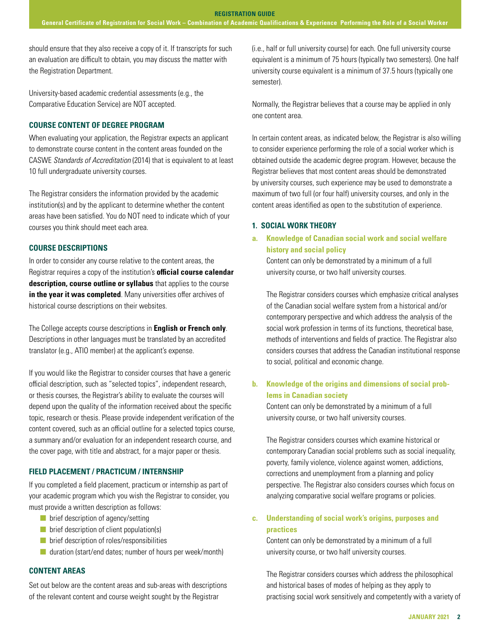should ensure that they also receive a copy of it. If transcripts for such an evaluation are difficult to obtain, you may discuss the matter with the Registration Department.

University-based academic credential assessments (e.g., the Comparative Education Service) are NOT accepted.

## **COURSE CONTENT OF DEGREE PROGRAM**

When evaluating your application, the Registrar expects an applicant to demonstrate course content in the content areas founded on the CASWE *Standards of Accreditation* (2014) that is equivalent to at least 10 full undergraduate university courses.

The Registrar considers the information provided by the academic institution(s) and by the applicant to determine whether the content areas have been satisfied. You do NOT need to indicate which of your courses you think should meet each area.

## **COURSE DESCRIPTIONS**

In order to consider any course relative to the content areas, the Registrar requires a copy of the institution's **official course calendar description, course outline or syllabus** that applies to the course **in the year it was completed**. Many universities offer archives of historical course descriptions on their websites.

The College accepts course descriptions in **English or French only**. Descriptions in other languages must be translated by an accredited translator (e.g., ATIO member) at the applicant's expense.

If you would like the Registrar to consider courses that have a generic official description, such as "selected topics", independent research, or thesis courses, the Registrar's ability to evaluate the courses will depend upon the quality of the information received about the specific topic, research or thesis. Please provide independent verification of the content covered, such as an official outline for a selected topics course, a summary and/or evaluation for an independent research course, and the cover page, with title and abstract, for a major paper or thesis.

## **FIELD PLACEMENT / PRACTICUM / INTERNSHIP**

If you completed a field placement, practicum or internship as part of your academic program which you wish the Registrar to consider, you must provide a written description as follows:

- $\blacksquare$  brief description of agency/setting
- $\blacksquare$  brief description of client population(s)
- $\blacksquare$  brief description of roles/responsibilities
- $\blacksquare$  duration (start/end dates; number of hours per week/month)

## **CONTENT AREAS**

Set out below are the content areas and sub-areas with descriptions of the relevant content and course weight sought by the Registrar

(i.e., half or full university course) for each. One full university course equivalent is a minimum of 75 hours (typically two semesters). One half university course equivalent is a minimum of 37.5 hours (typically one semester).

Normally, the Registrar believes that a course may be applied in only one content area.

In certain content areas, as indicated below, the Registrar is also willing to consider experience performing the role of a social worker which is obtained outside the academic degree program. However, because the Registrar believes that most content areas should be demonstrated by university courses, such experience may be used to demonstrate a maximum of two full (or four half) university courses, and only in the content areas identified as open to the substitution of experience.

## **1. SOCIAL WORK THEORY**

## **a. Knowledge of Canadian social work and social welfare history and social policy**

Content can only be demonstrated by a minimum of a full university course, or two half university courses.

The Registrar considers courses which emphasize critical analyses of the Canadian social welfare system from a historical and/or contemporary perspective and which address the analysis of the social work profession in terms of its functions, theoretical base, methods of interventions and fields of practice. The Registrar also considers courses that address the Canadian institutional response to social, political and economic change.

## **b. Knowledge of the origins and dimensions of social problems in Canadian society**

Content can only be demonstrated by a minimum of a full university course, or two half university courses.

The Registrar considers courses which examine historical or contemporary Canadian social problems such as social inequality, poverty, family violence, violence against women, addictions, corrections and unemployment from a planning and policy perspective. The Registrar also considers courses which focus on analyzing comparative social welfare programs or policies.

## **c. Understanding of social work's origins, purposes and practices**

Content can only be demonstrated by a minimum of a full university course, or two half university courses.

The Registrar considers courses which address the philosophical and historical bases of modes of helping as they apply to practising social work sensitively and competently with a variety of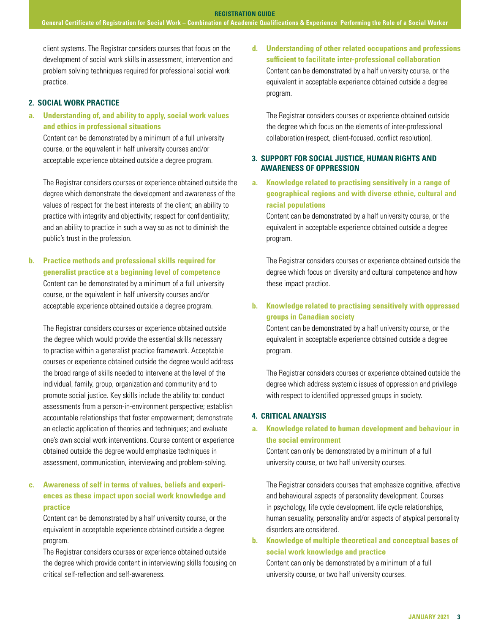client systems. The Registrar considers courses that focus on the development of social work skills in assessment, intervention and problem solving techniques required for professional social work practice.

## **2. SOCIAL WORK PRACTICE**

**a. Understanding of, and ability to apply, social work values and ethics in professional situations** 

Content can be demonstrated by a minimum of a full university course, or the equivalent in half university courses and/or acceptable experience obtained outside a degree program.

The Registrar considers courses or experience obtained outside the degree which demonstrate the development and awareness of the values of respect for the best interests of the client; an ability to practice with integrity and objectivity; respect for confidentiality; and an ability to practice in such a way so as not to diminish the public's trust in the profession.

**b. Practice methods and professional skills required for generalist practice at a beginning level of competence**  Content can be demonstrated by a minimum of a full university course, or the equivalent in half university courses and/or acceptable experience obtained outside a degree program.

The Registrar considers courses or experience obtained outside the degree which would provide the essential skills necessary to practise within a generalist practice framework. Acceptable courses or experience obtained outside the degree would address the broad range of skills needed to intervene at the level of the individual, family, group, organization and community and to promote social justice. Key skills include the ability to: conduct assessments from a person-in-environment perspective; establish accountable relationships that foster empowerment; demonstrate an eclectic application of theories and techniques; and evaluate one's own social work interventions. Course content or experience obtained outside the degree would emphasize techniques in assessment, communication, interviewing and problem-solving.

## **c. Awareness of self in terms of values, beliefs and experiences as these impact upon social work knowledge and practice**

Content can be demonstrated by a half university course, or the equivalent in acceptable experience obtained outside a degree program.

The Registrar considers courses or experience obtained outside the degree which provide content in interviewing skills focusing on critical self-reflection and self-awareness.

**d. Understanding of other related occupations and professions sufficient to facilitate inter-professional collaboration**  Content can be demonstrated by a half university course, or the equivalent in acceptable experience obtained outside a degree program.

The Registrar considers courses or experience obtained outside the degree which focus on the elements of inter-professional collaboration (respect, client-focused, conflict resolution).

## **3. SUPPORT FOR SOCIAL JUSTICE, HUMAN RIGHTS AND AWARENESS OF OPPRESSION**

**a. Knowledge related to practising sensitively in a range of geographical regions and with diverse ethnic, cultural and racial populations** 

Content can be demonstrated by a half university course, or the equivalent in acceptable experience obtained outside a degree program.

The Registrar considers courses or experience obtained outside the degree which focus on diversity and cultural competence and how these impact practice.

## **b. Knowledge related to practising sensitively with oppressed groups in Canadian society**

Content can be demonstrated by a half university course, or the equivalent in acceptable experience obtained outside a degree program.

The Registrar considers courses or experience obtained outside the degree which address systemic issues of oppression and privilege with respect to identified oppressed groups in society.

## **4. CRITICAL ANALYSIS**

## **a. Knowledge related to human development and behaviour in the social environment**

Content can only be demonstrated by a minimum of a full university course, or two half university courses.

The Registrar considers courses that emphasize cognitive, affective and behavioural aspects of personality development. Courses in psychology, life cycle development, life cycle relationships, human sexuality, personality and/or aspects of atypical personality disorders are considered.

**b. Knowledge of multiple theoretical and conceptual bases of social work knowledge and practice** 

Content can only be demonstrated by a minimum of a full university course, or two half university courses.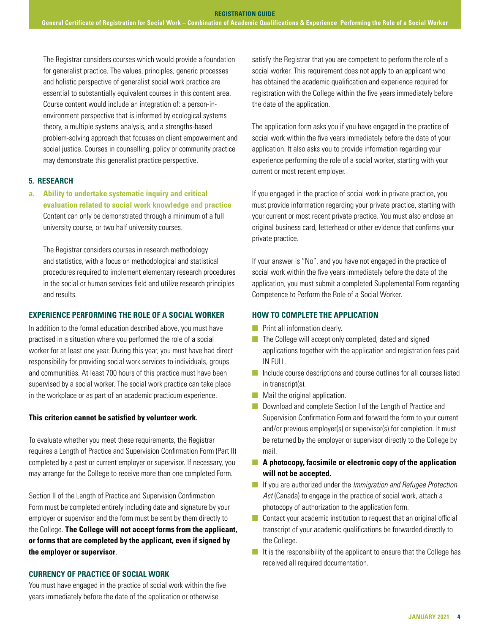The Registrar considers courses which would provide a foundation for generalist practice. The values, principles, generic processes and holistic perspective of generalist social work practice are essential to substantially equivalent courses in this content area. Course content would include an integration of: a person-inenvironment perspective that is informed by ecological systems theory, a multiple systems analysis, and a strengths-based problem-solving approach that focuses on client empowerment and social justice. Courses in counselling, policy or community practice may demonstrate this generalist practice perspective.

## **5. RESEARCH**

**a. Ability to undertake systematic inquiry and critical evaluation related to social work knowledge and practice**  Content can only be demonstrated through a minimum of a full university course, or two half university courses.

The Registrar considers courses in research methodology and statistics, with a focus on methodological and statistical procedures required to implement elementary research procedures in the social or human services field and utilize research principles and results.

## **EXPERIENCE PERFORMING THE ROLE OF A SOCIAL WORKER**

In addition to the formal education described above, you must have practised in a situation where you performed the role of a social worker for at least one year. During this year, you must have had direct responsibility for providing social work services to individuals, groups and communities. At least 700 hours of this practice must have been supervised by a social worker. The social work practice can take place in the workplace or as part of an academic practicum experience.

## **This criterion cannot be satisfied by volunteer work.**

To evaluate whether you meet these requirements, the Registrar requires a Length of Practice and Supervision Confirmation Form (Part II) completed by a past or current employer or supervisor. If necessary, you may arrange for the College to receive more than one completed Form.

Section II of the Length of Practice and Supervision Confirmation Form must be completed entirely including date and signature by your employer or supervisor and the form must be sent by them directly to the College. **The College will not accept forms from the applicant, or forms that are completed by the applicant, even if signed by the employer or supervisor**.

#### **CURRENCY OF PRACTICE OF SOCIAL WORK**

You must have engaged in the practice of social work within the five years immediately before the date of the application or otherwise

satisfy the Registrar that you are competent to perform the role of a social worker. This requirement does not apply to an applicant who has obtained the academic qualification and experience required for registration with the College within the five years immediately before the date of the application.

The application form asks you if you have engaged in the practice of social work within the five years immediately before the date of your application. It also asks you to provide information regarding your experience performing the role of a social worker, starting with your current or most recent employer.

If you engaged in the practice of social work in private practice, you must provide information regarding your private practice, starting with your current or most recent private practice. You must also enclose an original business card, letterhead or other evidence that confirms your private practice.

If your answer is "No", and you have not engaged in the practice of social work within the five years immediately before the date of the application, you must submit a completed Supplemental Form regarding Competence to Perform the Role of a Social Worker.

### **HOW TO COMPLETE THE APPLICATION**

- **n** Print all information clearly.
- $\blacksquare$  The College will accept only completed, dated and signed applications together with the application and registration fees paid IN FULL.
- $\blacksquare$  Include course descriptions and course outlines for all courses listed in transcript(s).
- $\blacksquare$  Mail the original application.
- **n** Download and complete Section I of the Length of Practice and Supervision Confirmation Form and forward the form to your current and/or previous employer(s) or supervisor(s) for completion. It must be returned by the employer or supervisor directly to the College by mail.
- **n** A photocopy, facsimile or electronic copy of the application **will not be accepted.**
- **n** If you are authorized under the *Immigration and Refugee Protection Act* (Canada) to engage in the practice of social work, attach a photocopy of authorization to the application form.
- $\blacksquare$  Contact your academic institution to request that an original official transcript of your academic qualifications be forwarded directly to the College.
- $\blacksquare$  It is the responsibility of the applicant to ensure that the College has received all required documentation.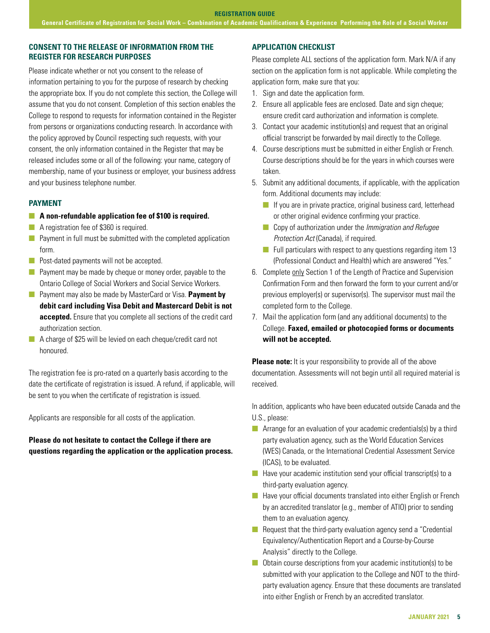## **CONSENT TO THE RELEASE OF INFORMATION FROM THE REGISTER FOR RESEARCH PURPOSES**

Please indicate whether or not you consent to the release of information pertaining to you for the purpose of research by checking the appropriate box. If you do not complete this section, the College will assume that you do not consent. Completion of this section enables the College to respond to requests for information contained in the Register from persons or organizations conducting research. In accordance with the policy approved by Council respecting such requests, with your consent, the only information contained in the Register that may be released includes some or all of the following: your name, category of membership, name of your business or employer, your business address and your business telephone number.

#### **PAYMENT**

### **n** A non-refundable application fee of \$100 is required.

- **n** A registration fee of \$360 is required.
- $\blacksquare$  Payment in full must be submitted with the completed application form.
- $\blacksquare$  Post-dated payments will not be accepted.
- $\blacksquare$  Payment may be made by cheque or money order, payable to the Ontario College of Social Workers and Social Service Workers.
- **n** Payment may also be made by MasterCard or Visa. Payment by **debit card including Visa Debit and Mastercard Debit is not accepted.** Ensure that you complete all sections of the credit card authorization section.
- $\blacksquare$  A charge of \$25 will be levied on each cheque/credit card not honoured.

The registration fee is pro-rated on a quarterly basis according to the date the certificate of registration is issued. A refund, if applicable, will be sent to you when the certificate of registration is issued.

Applicants are responsible for all costs of the application.

**Please do not hesitate to contact the College if there are questions regarding the application or the application process.**

#### **APPLICATION CHECKLIST**

Please complete ALL sections of the application form. Mark N/A if any section on the application form is not applicable. While completing the application form, make sure that you:

- 1. Sign and date the application form.
- 2. Ensure all applicable fees are enclosed. Date and sign cheque; ensure credit card authorization and information is complete.
- 3. Contact your academic institution(s) and request that an original official transcript be forwarded by mail directly to the College.
- 4. Course descriptions must be submitted in either English or French. Course descriptions should be for the years in which courses were taken.
- 5. Submit any additional documents, if applicable, with the application form. Additional documents may include:
	- $\blacksquare$  If you are in private practice, original business card, letterhead or other original evidence confirming your practice.
	- n Copy of authorization under the *Immigration and Refugee Protection Act* (Canada), if required.
	- $\blacksquare$  Full particulars with respect to any questions regarding item 13 (Professional Conduct and Health) which are answered "Yes."
- 6. Complete only Section 1 of the Length of Practice and Supervision Confirmation Form and then forward the form to your current and/or previous employer(s) or supervisor(s). The supervisor must mail the completed form to the College.
- 7. Mail the application form (and any additional documents) to the College. **Faxed, emailed or photocopied forms or documents will not be accepted.**

**Please note:** It is your responsibility to provide all of the above documentation. Assessments will not begin until all required material is received.

In addition, applicants who have been educated outside Canada and the U.S., please:

- **n** Arrange for an evaluation of your academic credentials(s) by a third party evaluation agency, such as the World Education Services (WES) Canada, or the International Credential Assessment Service (ICAS), to be evaluated.
- $\blacksquare$  Have your academic institution send your official transcript(s) to a third-party evaluation agency.
- $\blacksquare$  Have your official documents translated into either English or French by an accredited translator (e.g., member of ATIO) prior to sending them to an evaluation agency.
- $\blacksquare$  Request that the third-party evaluation agency send a "Credential" Equivalency/Authentication Report and a Course-by-Course Analysis" directly to the College.
- $\Box$  Obtain course descriptions from your academic institution(s) to be submitted with your application to the College and NOT to the thirdparty evaluation agency. Ensure that these documents are translated into either English or French by an accredited translator.